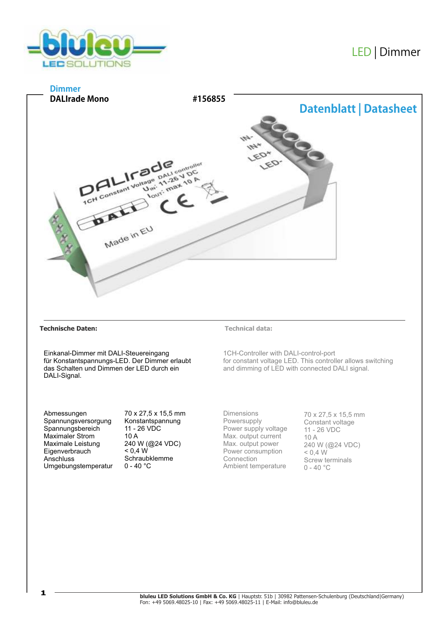

# LED |Dimmer



## **Technische Daten: Technical data:**

Einkanal-Dimmer mit DALI-Steuereingang für Konstantspannungs-LED. Der Dimmer erlaubt das Schalten und Dimmen der LED durch ein DALI-Signal.

1CH-Controller with DALI-control-port for constant voltage LED. This controller allows switching and dimming of LED with connected DALI signal.

Abmessungen Spannungsversorgung Spannungsbereich Maximaler Strom Maximale Leistung **Eigenverbrauch Anschluss** Umgebungstemperatur 70 x 27,5 x 15,5 mm Konstantspannung 11 - 26 VDC 10 A 240 W (@24 VDC)  $< 0.4 W$ Schraubklemme  $0 - 40 °C$ 

Dimensions Powersupply Power supply voltage Max. output current Max. output power Power consumption Connection Ambient temperature

70 x 27,5 x 15,5 mm Constant voltage 11 - 26 VDC 10 A 240 W (@24 VDC)  $< 0.4 W$ Screw terminals  $0 - 40$  °C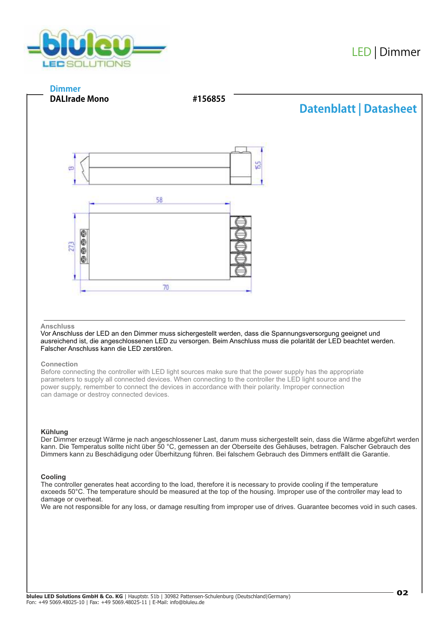



## **Anschluss**

Vor Anschluss der LED an den Dimmer muss sichergestellt werden, dass die Spannungsversorgung geeignet und ausreichend ist, die angeschlossenen LED zu versorgen. Beim Anschluss muss die polarität der LED beachtet werden. Falscher Anschluss kann die LED zerstören.

## **Connection**

Before connecting the controller with LED light sources make sure that the power supply has the appropriate parameters to supply all connected devices. When connecting to the controller the LED light source and the power supply, remember to connect the devices in accordance with their polarity. Improper connection can damage or destroy connected devices.

## **Kühlung**

Der Dimmer erzeugt Wärme je nach angeschlossener Last, darum muss sichergestellt sein, dass die Wärme abgeführt werden kann. Die Temperatus sollte nicht über 50 °C, gemessen an der Oberseite des Gehäuses, betragen. Falscher Gebrauch des Dimmers kann zu Beschädigung oder Überhitzung führen. Bei falschem Gebrauch des Dimmers entfällt die Garantie.

## **Cooling**

The controller generates heat according to the load, therefore it is necessary to provide cooling if the temperature exceeds 50°C. The temperature should be measured at the top of the housing. Improper use of the controller may lead to damage or overheat.

We are not responsible for any loss, or damage resulting from improper use of drives. Guarantee becomes void in such cases.